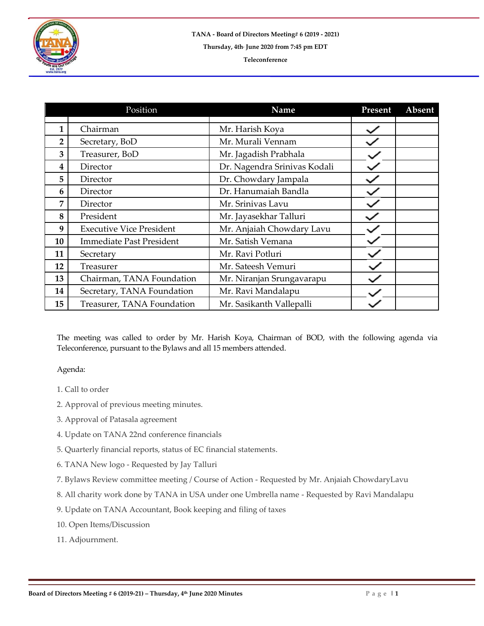

|                | Position                        | Name                         | Present | Absent |
|----------------|---------------------------------|------------------------------|---------|--------|
|                |                                 |                              |         |        |
| 1              | Chairman                        | Mr. Harish Koya              |         |        |
| $\overline{2}$ | Secretary, BoD                  | Mr. Murali Vennam            |         |        |
| 3              | Treasurer, BoD                  | Mr. Jagadish Prabhala        |         |        |
| 4              | Director                        | Dr. Nagendra Srinivas Kodali |         |        |
| 5              | Director                        | Dr. Chowdary Jampala         |         |        |
| 6              | Director                        | Dr. Hanumaiah Bandla         |         |        |
| 7              | Director                        | Mr. Srinivas Lavu            |         |        |
| 8              | President                       | Mr. Jayasekhar Talluri       |         |        |
| 9              | <b>Executive Vice President</b> | Mr. Anjaiah Chowdary Lavu    |         |        |
| 10             | <b>Immediate Past President</b> | Mr. Satish Vemana            |         |        |
| 11             | Secretary                       | Mr. Ravi Potluri             |         |        |
| 12             | Treasurer                       | Mr. Sateesh Vemuri           |         |        |
| 13             | Chairman, TANA Foundation       | Mr. Niranjan Srungavarapu    |         |        |
| 14             | Secretary, TANA Foundation      | Mr. Ravi Mandalapu           |         |        |
| 15             | Treasurer, TANA Foundation      | Mr. Sasikanth Vallepalli     |         |        |

The meeting was called to order by Mr. Harish Koya, Chairman of BOD, with the following agenda via Teleconference, pursuant to the Bylaws and all 15 members attended.

## Agenda:

- 1. Call to order
- 2. Approval of previous meeting minutes.
- 3. Approval of Patasala agreement
- 4. Update on TANA 22nd conference financials
- 5. Quarterly financial reports, status of EC financial statements.
- 6. TANA New logo Requested by Jay Talluri
- 7. Bylaws Review committee meeting / Course of Action Requested by Mr. Anjaiah ChowdaryLavu
- 8. All charity work done by TANA in USA under one Umbrella name Requested by Ravi Mandalapu
- 9. Update on TANA Accountant, Book keeping and filing of taxes
- 10. Open Items/Discussion
- 11. Adjournment.